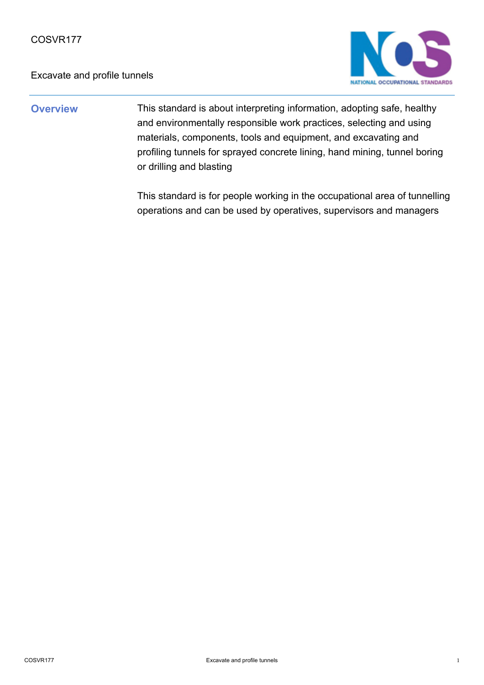

**Overview** This standard is about interpreting information, adopting safe, healthy and environmentally responsible work practices, selecting and using materials, components, tools and equipment, and excavating and profiling tunnels for sprayed concrete lining, hand mining, tunnel boring or drilling and blasting

> This standard is for people working in the occupational area of tunnelling operations and can be used by operatives, supervisors and managers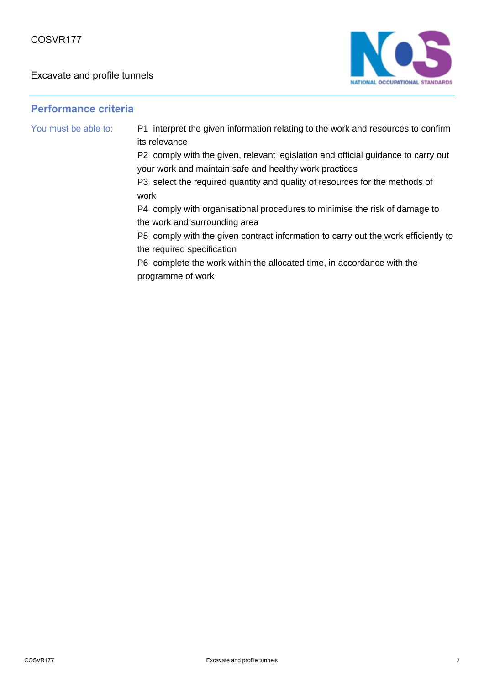

# **Performance criteria**

You must be able to: P1 interpret the given information relating to the work and resources to confirm its relevance

> P2 comply with the given, relevant legislation and official guidance to carry out your work and maintain safe and healthy work practices

P3 select the required quantity and quality of resources for the methods of work

P4 comply with organisational procedures to minimise the risk of damage to the work and surrounding area

P5 comply with the given contract information to carry out the work efficiently to the required specification

P6 complete the work within the allocated time, in accordance with the programme of work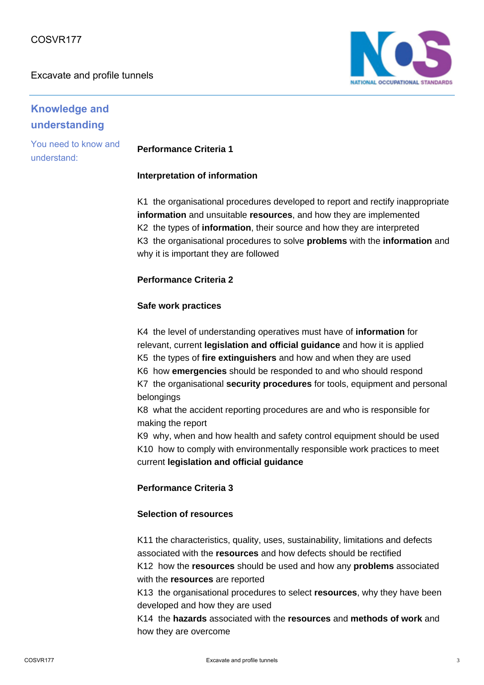

# **Knowledge and understanding**

You need to know and understand:

# **Performance Criteria 1**

#### **Interpretation of information**

K1 the organisational procedures developed to report and rectify inappropriate **information** and unsuitable **resources**, and how they are implemented K2 the types of **information**, their source and how they are interpreted K3 the organisational procedures to solve **problems** with the **information** and why it is important they are followed

#### **Performance Criteria 2**

#### **Safe work practices**

K4 the level of understanding operatives must have of **information** for relevant, current **legislation and official guidance** and how it is applied K5 the types of **fire extinguishers** and how and when they are used K6 how **emergencies** should be responded to and who should respond K7 the organisational **security procedures** for tools, equipment and personal belongings

K8 what the accident reporting procedures are and who is responsible for making the report

K9 why, when and how health and safety control equipment should be used K10 how to comply with environmentally responsible work practices to meet current **legislation and official guidance**

### **Performance Criteria 3**

#### **Selection of resources**

K11 the characteristics, quality, uses, sustainability, limitations and defects associated with the **resources** and how defects should be rectified K12 how the **resources** should be used and how any **problems** associated with the **resources** are reported

K13 the organisational procedures to select **resources**, why they have been developed and how they are used

K14 the **hazards** associated with the **resources** and **methods of work** and how they are overcome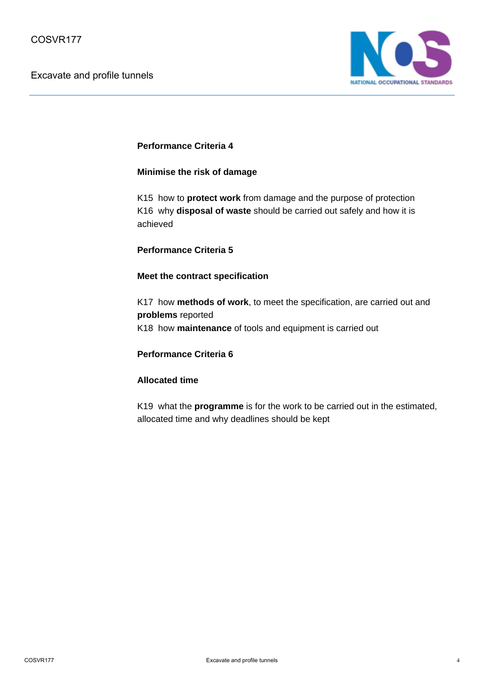

### **Performance Criteria 4**

#### **Minimise the risk of damage**

K15 how to **protect work** from damage and the purpose of protection K16 why **disposal of waste** should be carried out safely and how it is achieved

#### **Performance Criteria 5**

#### **Meet the contract specification**

K17 how **methods of work**, to meet the specification, are carried out and **problems** reported K18 how **maintenance** of tools and equipment is carried out

#### **Performance Criteria 6**

#### **Allocated time**

K19 what the **programme** is for the work to be carried out in the estimated, allocated time and why deadlines should be kept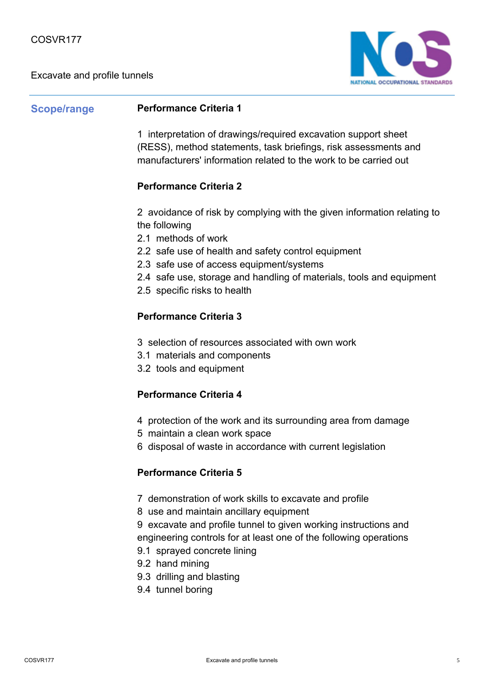

# **Scope/range Performance Criteria 1**

1 interpretation of drawings/required excavation support sheet (RESS), method statements, task briefings, risk assessments and manufacturers' information related to the work to be carried out

# **Performance Criteria 2**

2 avoidance of risk by complying with the given information relating to the following

- 2.1 methods of work
- 2.2 safe use of health and safety control equipment
- 2.3 safe use of access equipment/systems
- 2.4 safe use, storage and handling of materials, tools and equipment
- 2.5 specific risks to health

# **Performance Criteria 3**

- 3 selection of resources associated with own work
- 3.1 materials and components
- 3.2 tools and equipment

### **Performance Criteria 4**

- 4 protection of the work and its surrounding area from damage
- 5 maintain a clean work space
- 6 disposal of waste in accordance with current legislation

#### **Performance Criteria 5**

- 7 demonstration of work skills to excavate and profile
- 8 use and maintain ancillary equipment
- 9 excavate and profile tunnel to given working instructions and engineering controls for at least one of the following operations
- 9.1 sprayed concrete lining
- 9.2 hand mining
- 9.3 drilling and blasting
- 9.4 tunnel boring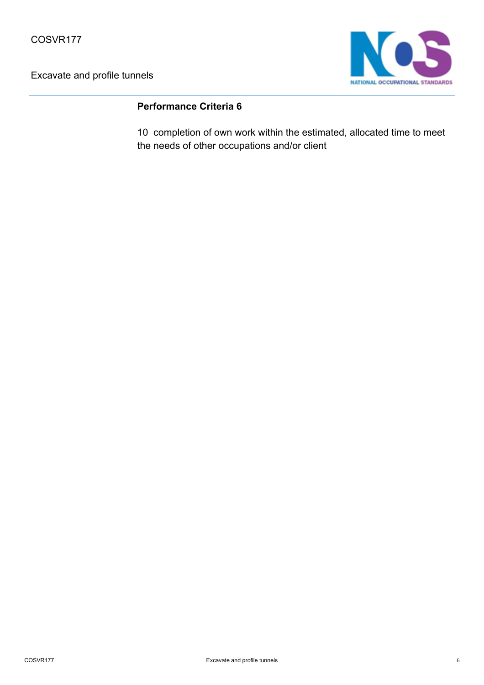

# **Performance Criteria 6**

10 completion of own work within the estimated, allocated time to meet the needs of other occupations and/or client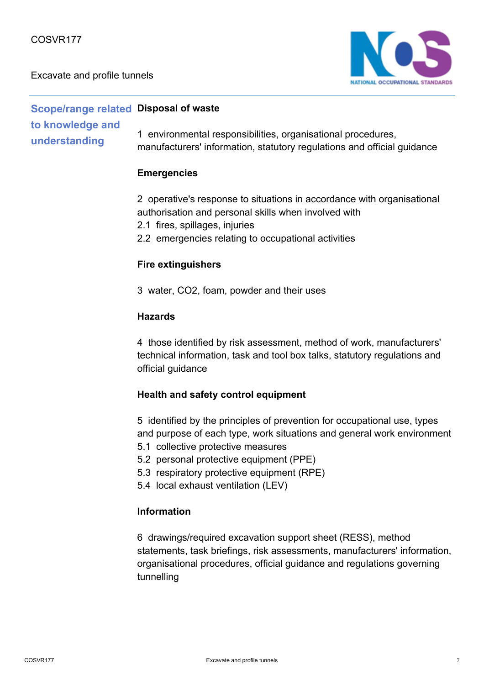

**Scope/range related Disposal of waste to knowledge and understanding** 1 environmental responsibilities, organisational procedures, manufacturers' information, statutory regulations and official guidance

### **Emergencies**

2 operative's response to situations in accordance with organisational authorisation and personal skills when involved with

- 2.1 fires, spillages, injuries
- 2.2 emergencies relating to occupational activities

#### **Fire extinguishers**

3 water, CO2, foam, powder and their uses

### **Hazards**

4 those identified by risk assessment, method of work, manufacturers' technical information, task and tool box talks, statutory regulations and official guidance

### **Health and safety control equipment**

5 identified by the principles of prevention for occupational use, types and purpose of each type, work situations and general work environment

- 5.1 collective protective measures
- 5.2 personal protective equipment (PPE)
- 5.3 respiratory protective equipment (RPE)
- 5.4 local exhaust ventilation (LEV)

### **Information**

6 drawings/required excavation support sheet (RESS), method statements, task briefings, risk assessments, manufacturers' information, organisational procedures, official guidance and regulations governing tunnelling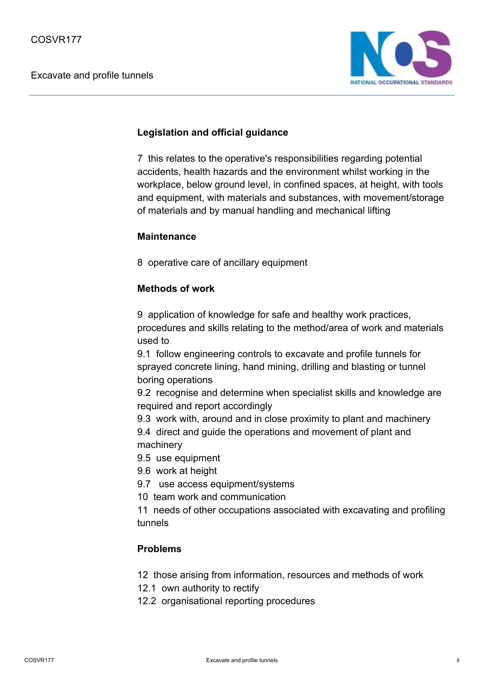

## **Legislation and official guidance**

7 this relates to the operative's responsibilities regarding potential accidents, health hazards and the environment whilst working in the workplace, below ground level, in confined spaces, at height, with tools and equipment, with materials and substances, with movement/storage of materials and by manual handling and mechanical lifting

# **Maintenance**

8 operative care of ancillary equipment

# **Methods of work**

9 application of knowledge for safe and healthy work practices, procedures and skills relating to the method/area of work and materials used to

9.1 follow engineering controls to excavate and profile tunnels for sprayed concrete lining, hand mining, drilling and blasting or tunnel boring operations

9.2 recognise and determine when specialist skills and knowledge are required and report accordingly

9.3 work with, around and in close proximity to plant and machinery

9.4 direct and guide the operations and movement of plant and machinery

- 9.5 use equipment
- 9.6 work at height
- 9.7 use access equipment/systems
- 10 team work and communication

11 needs of other occupations associated with excavating and profiling tunnels

# **Problems**

- 12 those arising from information, resources and methods of work
- 12.1 own authority to rectify
- 12.2 organisational reporting procedures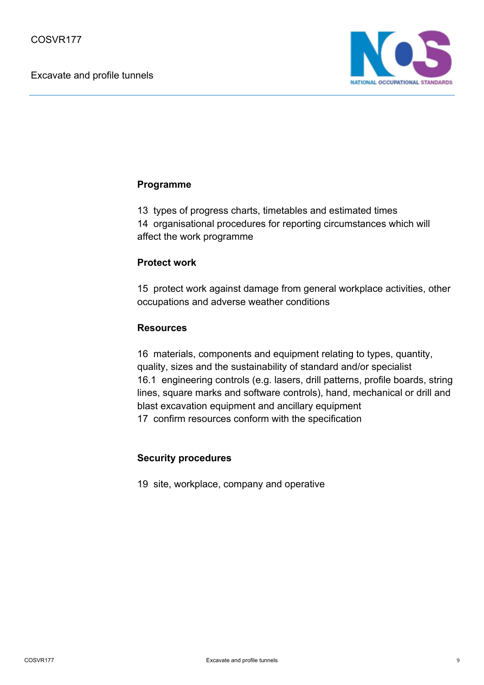

# **Programme**

13 types of progress charts, timetables and estimated times 14 organisational procedures for reporting circumstances which will affect the work programme

# **Protect work**

15 protect work against damage from general workplace activities, other occupations and adverse weather conditions

# **Resources**

16 materials, components and equipment relating to types, quantity, quality, sizes and the sustainability of standard and/or specialist 16.1 engineering controls (e.g. lasers, drill patterns, profile boards, string lines, square marks and software controls), hand, mechanical or drill and blast excavation equipment and ancillary equipment 17 confirm resources conform with the specification

### **Security procedures**

19 site, workplace, company and operative